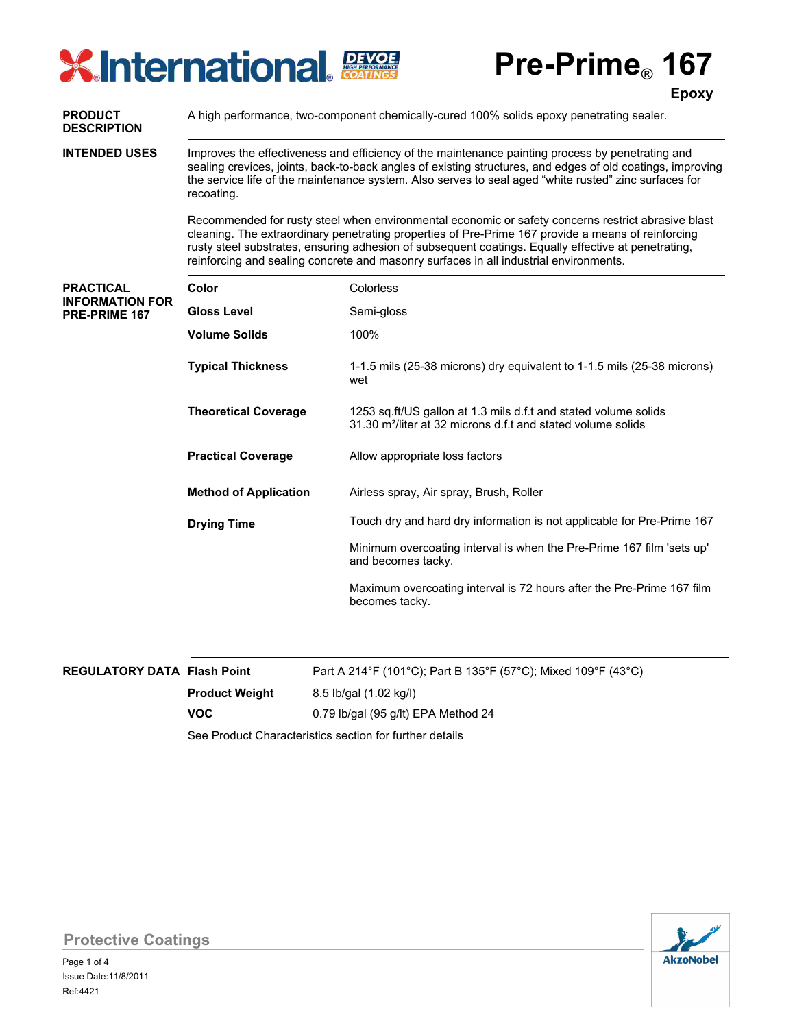# **XInternational PEXOE**

**Pre-Prime**® **167**

|                                                             |                                                                                                                                                                                                                                                                                                                                                                                                          | <b>Epoxy</b>                                                                                                                                |  |  |  |  |
|-------------------------------------------------------------|----------------------------------------------------------------------------------------------------------------------------------------------------------------------------------------------------------------------------------------------------------------------------------------------------------------------------------------------------------------------------------------------------------|---------------------------------------------------------------------------------------------------------------------------------------------|--|--|--|--|
| <b>PRODUCT</b><br><b>DESCRIPTION</b>                        | A high performance, two-component chemically-cured 100% solids epoxy penetrating sealer.                                                                                                                                                                                                                                                                                                                 |                                                                                                                                             |  |  |  |  |
| <b>INTENDED USES</b>                                        | Improves the effectiveness and efficiency of the maintenance painting process by penetrating and<br>sealing crevices, joints, back-to-back angles of existing structures, and edges of old coatings, improving<br>the service life of the maintenance system. Also serves to seal aged "white rusted" zinc surfaces for<br>recoating.                                                                    |                                                                                                                                             |  |  |  |  |
|                                                             | Recommended for rusty steel when environmental economic or safety concerns restrict abrasive blast<br>cleaning. The extraordinary penetrating properties of Pre-Prime 167 provide a means of reinforcing<br>rusty steel substrates, ensuring adhesion of subsequent coatings. Equally effective at penetrating,<br>reinforcing and sealing concrete and masonry surfaces in all industrial environments. |                                                                                                                                             |  |  |  |  |
| <b>PRACTICAL</b><br><b>INFORMATION FOR</b><br>PRE-PRIME 167 | Color                                                                                                                                                                                                                                                                                                                                                                                                    | Colorless                                                                                                                                   |  |  |  |  |
|                                                             | <b>Gloss Level</b>                                                                                                                                                                                                                                                                                                                                                                                       | Semi-gloss                                                                                                                                  |  |  |  |  |
|                                                             | <b>Volume Solids</b>                                                                                                                                                                                                                                                                                                                                                                                     | 100%                                                                                                                                        |  |  |  |  |
|                                                             | <b>Typical Thickness</b>                                                                                                                                                                                                                                                                                                                                                                                 | 1-1.5 mils (25-38 microns) dry equivalent to 1-1.5 mils (25-38 microns)<br>wet                                                              |  |  |  |  |
|                                                             | <b>Theoretical Coverage</b>                                                                                                                                                                                                                                                                                                                                                                              | 1253 sq.ft/US gallon at 1.3 mils d.f.t and stated volume solids<br>31.30 m <sup>2</sup> /liter at 32 microns d.f.t and stated volume solids |  |  |  |  |
|                                                             | <b>Practical Coverage</b>                                                                                                                                                                                                                                                                                                                                                                                | Allow appropriate loss factors                                                                                                              |  |  |  |  |
|                                                             | <b>Method of Application</b>                                                                                                                                                                                                                                                                                                                                                                             | Airless spray, Air spray, Brush, Roller                                                                                                     |  |  |  |  |
|                                                             | <b>Drying Time</b>                                                                                                                                                                                                                                                                                                                                                                                       | Touch dry and hard dry information is not applicable for Pre-Prime 167                                                                      |  |  |  |  |
|                                                             |                                                                                                                                                                                                                                                                                                                                                                                                          | Minimum overcoating interval is when the Pre-Prime 167 film 'sets up'<br>and becomes tacky.                                                 |  |  |  |  |
|                                                             |                                                                                                                                                                                                                                                                                                                                                                                                          | Maximum overcoating interval is 72 hours after the Pre-Prime 167 film<br>becomes tacky.                                                     |  |  |  |  |
|                                                             |                                                                                                                                                                                                                                                                                                                                                                                                          |                                                                                                                                             |  |  |  |  |

| <b>REGULATORY DATA Flash Point</b> |                       | Part A 214°F (101°C); Part B 135°F (57°C); Mixed 109°F (43°C) |  |  |  |  |
|------------------------------------|-----------------------|---------------------------------------------------------------|--|--|--|--|
|                                    | <b>Product Weight</b> | 8.5 lb/gal (1.02 kg/l)                                        |  |  |  |  |
|                                    | VOC.                  | 0.79 lb/gal (95 g/lt) EPA Method 24                           |  |  |  |  |
|                                    |                       | See Product Characteristics section for further details       |  |  |  |  |



**Protective Coatings**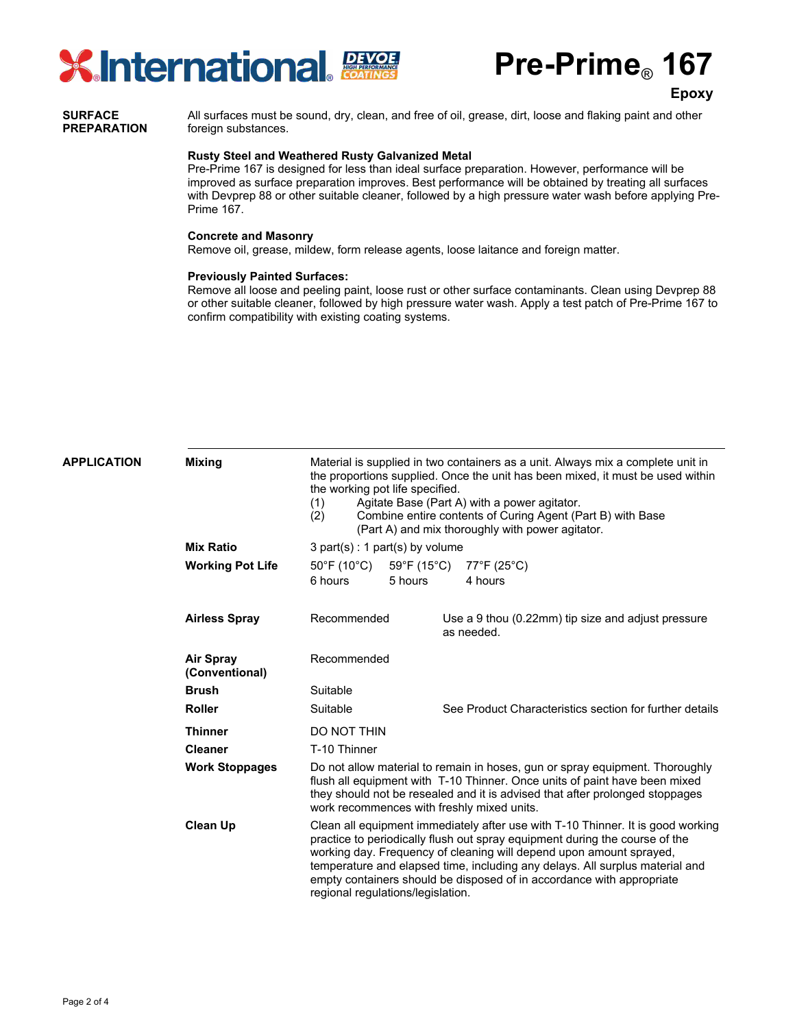

**Pre-Prime**® **167**

**Epoxy**

#### All surfaces must be sound, dry, clean, and free of oil, grease, dirt, loose and flaking paint and other foreign substances. **SURFACE PREPARATION**

#### **Rusty Steel and Weathered Rusty Galvanized Metal**

Pre-Prime 167 is designed for less than ideal surface preparation. However, performance will be improved as surface preparation improves. Best performance will be obtained by treating all surfaces with Devprep 88 or other suitable cleaner, followed by a high pressure water wash before applying Pre-Prime 167.

#### **Concrete and Masonry**

Remove oil, grease, mildew, form release agents, loose laitance and foreign matter.

#### **Previously Painted Surfaces:**

Remove all loose and peeling paint, loose rust or other surface contaminants. Clean using Devprep 88 or other suitable cleaner, followed by high pressure water wash. Apply a test patch of Pre-Prime 167 to confirm compatibility with existing coating systems.

| <b>APPLICATION</b> | <b>Mixing</b>                      | Material is supplied in two containers as a unit. Always mix a complete unit in<br>the proportions supplied. Once the unit has been mixed, it must be used within<br>the working pot life specified.<br>(1)<br>Agitate Base (Part A) with a power agitator.<br>Combine entire contents of Curing Agent (Part B) with Base<br>(2)<br>(Part A) and mix thoroughly with power agitator.                                                |         |                                                         |                                                                  |  |  |  |
|--------------------|------------------------------------|-------------------------------------------------------------------------------------------------------------------------------------------------------------------------------------------------------------------------------------------------------------------------------------------------------------------------------------------------------------------------------------------------------------------------------------|---------|---------------------------------------------------------|------------------------------------------------------------------|--|--|--|
|                    | <b>Mix Ratio</b>                   | $3$ part(s) : 1 part(s) by volume                                                                                                                                                                                                                                                                                                                                                                                                   |         |                                                         |                                                                  |  |  |  |
|                    | <b>Working Pot Life</b>            | 50°F (10°C)<br>59°F (15°C)                                                                                                                                                                                                                                                                                                                                                                                                          |         | $77^{\circ}$ F (25 $^{\circ}$ C)                        |                                                                  |  |  |  |
|                    |                                    | 6 hours                                                                                                                                                                                                                                                                                                                                                                                                                             | 5 hours |                                                         | 4 hours                                                          |  |  |  |
|                    | <b>Airless Spray</b>               | Recommended                                                                                                                                                                                                                                                                                                                                                                                                                         |         |                                                         | Use a 9 thou (0.22mm) tip size and adjust pressure<br>as needed. |  |  |  |
|                    | <b>Air Spray</b><br>(Conventional) | Recommended                                                                                                                                                                                                                                                                                                                                                                                                                         |         |                                                         |                                                                  |  |  |  |
|                    | <b>Brush</b>                       | Suitable                                                                                                                                                                                                                                                                                                                                                                                                                            |         |                                                         |                                                                  |  |  |  |
|                    | <b>Roller</b>                      | Suitable                                                                                                                                                                                                                                                                                                                                                                                                                            |         | See Product Characteristics section for further details |                                                                  |  |  |  |
|                    | <b>Thinner</b>                     | DO NOT THIN                                                                                                                                                                                                                                                                                                                                                                                                                         |         |                                                         |                                                                  |  |  |  |
|                    | <b>Cleaner</b>                     | T-10 Thinner                                                                                                                                                                                                                                                                                                                                                                                                                        |         |                                                         |                                                                  |  |  |  |
|                    | <b>Work Stoppages</b>              | Do not allow material to remain in hoses, gun or spray equipment. Thoroughly<br>flush all equipment with T-10 Thinner. Once units of paint have been mixed<br>they should not be resealed and it is advised that after prolonged stoppages<br>work recommences with freshly mixed units.                                                                                                                                            |         |                                                         |                                                                  |  |  |  |
|                    | <b>Clean Up</b>                    | Clean all equipment immediately after use with T-10 Thinner. It is good working<br>practice to periodically flush out spray equipment during the course of the<br>working day. Frequency of cleaning will depend upon amount sprayed,<br>temperature and elapsed time, including any delays. All surplus material and<br>empty containers should be disposed of in accordance with appropriate<br>regional regulations/legislation. |         |                                                         |                                                                  |  |  |  |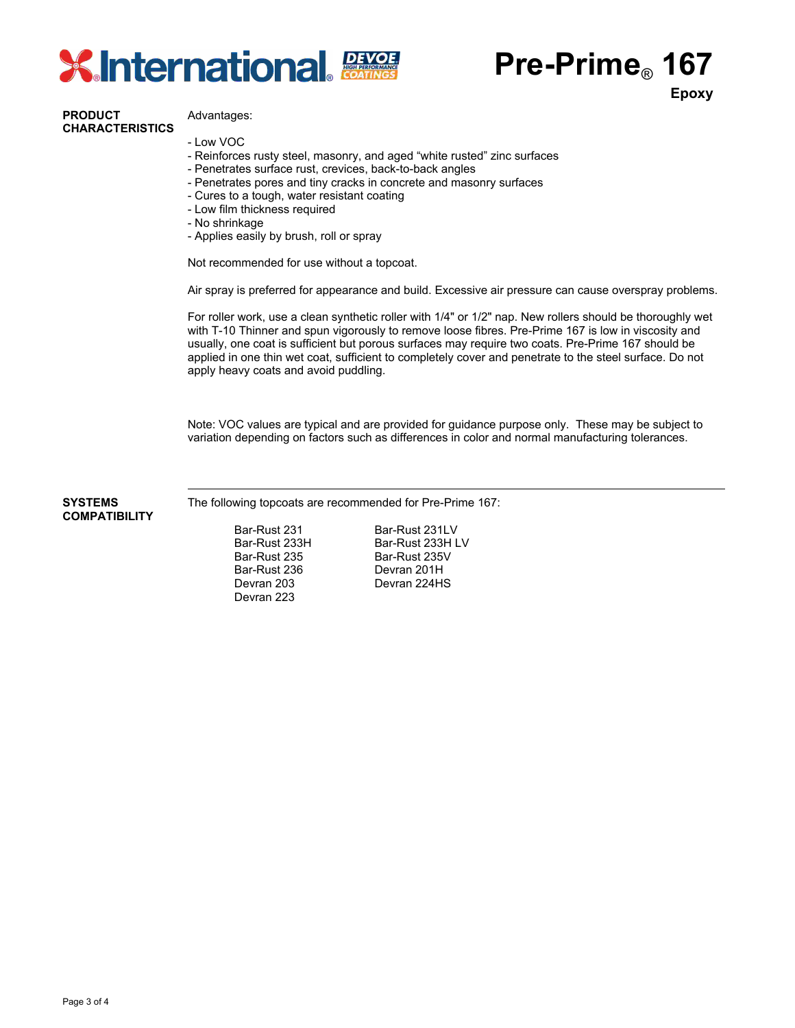

## **Pre-Prime**® **167**

**Epoxy**

### **PRODUCT CHARACTERISTICS**

Advantages:

- Low VOC
- Reinforces rusty steel, masonry, and aged "white rusted" zinc surfaces
- Penetrates surface rust, crevices, back-to-back angles
- Penetrates pores and tiny cracks in concrete and masonry surfaces
- Cures to a tough, water resistant coating
- Low film thickness required
- No shrinkage
- Applies easily by brush, roll or spray

Not recommended for use without a topcoat.

Air spray is preferred for appearance and build. Excessive air pressure can cause overspray problems.

For roller work, use a clean synthetic roller with 1/4" or 1/2" nap. New rollers should be thoroughly wet with T-10 Thinner and spun vigorously to remove loose fibres. Pre-Prime 167 is low in viscosity and usually, one coat is sufficient but porous surfaces may require two coats. Pre-Prime 167 should be applied in one thin wet coat, sufficient to completely cover and penetrate to the steel surface. Do not apply heavy coats and avoid puddling.

Note: VOC values are typical and are provided for guidance purpose only. These may be subject to variation depending on factors such as differences in color and normal manufacturing tolerances.

**SYSTEMS COMPATIBILITY**

The following topcoats are recommended for Pre-Prime 167:

Bar-Rust 231 Bar-Rust 231LV<br>Bar-Rust 233H Bar-Rust 233H L Bar-Rust 235<br>
Bar-Rust 236<br>
Devran 201H Bar-Rust 236 Devran 201H<br>Devran 203 Devran 224H Devran 223

Bar-Rust 233H Bar-Rust 233H LV<br>Bar-Rust 235 Bar-Rust 235V Devran 224HS